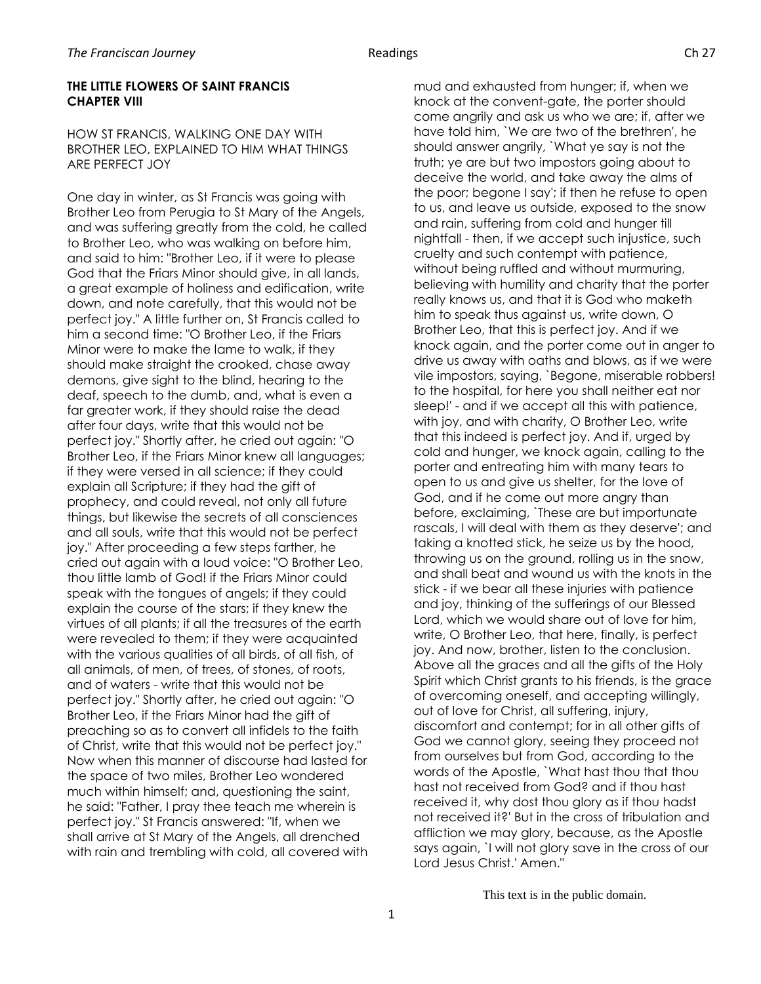#### **THE LITTLE FLOWERS OF SAINT FRANCIS CHAPTER VIII**

#### HOW ST FRANCIS, WALKING ONE DAY WITH BROTHER LEO, EXPLAINED TO HIM WHAT THINGS ARE PERFECT JOY

One day in winter, as St Francis was going with Brother Leo from Perugia to St Mary of the Angels, and was suffering greatly from the cold, he called to Brother Leo, who was walking on before him, and said to him: "Brother Leo, if it were to please God that the Friars Minor should give, in all lands, a great example of holiness and edification, write down, and note carefully, that this would not be perfect joy." A little further on, St Francis called to him a second time: "O Brother Leo, if the Friars Minor were to make the lame to walk, if they should make straight the crooked, chase away demons, give sight to the blind, hearing to the deaf, speech to the dumb, and, what is even a far greater work, if they should raise the dead after four days, write that this would not be perfect joy." Shortly after, he cried out again: "O Brother Leo, if the Friars Minor knew all languages; if they were versed in all science; if they could explain all Scripture; if they had the gift of prophecy, and could reveal, not only all future things, but likewise the secrets of all consciences and all souls, write that this would not be perfect joy." After proceeding a few steps farther, he cried out again with a loud voice: "O Brother Leo, thou little lamb of God! if the Friars Minor could speak with the tongues of angels; if they could explain the course of the stars; if they knew the virtues of all plants; if all the treasures of the earth were revealed to them; if they were acquainted with the various qualities of all birds, of all fish, of all animals, of men, of trees, of stones, of roots, and of waters - write that this would not be perfect joy." Shortly after, he cried out again: "O Brother Leo, if the Friars Minor had the gift of preaching so as to convert all infidels to the faith of Christ, write that this would not be perfect joy." Now when this manner of discourse had lasted for the space of two miles, Brother Leo wondered much within himself; and, questioning the saint, he said: "Father, I pray thee teach me wherein is perfect joy." St Francis answered: "If, when we shall arrive at St Mary of the Angels, all drenched with rain and trembling with cold, all covered with mud and exhausted from hunger; if, when we knock at the convent-gate, the porter should come angrily and ask us who we are; if, after we have told him, `We are two of the brethren', he should answer angrily, `What ye say is not the truth; ye are but two impostors going about to deceive the world, and take away the alms of the poor; begone I say'; if then he refuse to open to us, and leave us outside, exposed to the snow and rain, suffering from cold and hunger till nightfall - then, if we accept such injustice, such cruelty and such contempt with patience, without being ruffled and without murmuring, believing with humility and charity that the porter really knows us, and that it is God who maketh him to speak thus against us, write down, O Brother Leo, that this is perfect joy. And if we knock again, and the porter come out in anger to drive us away with oaths and blows, as if we were vile impostors, saying, `Begone, miserable robbers! to the hospital, for here you shall neither eat nor sleep!' - and if we accept all this with patience, with joy, and with charity, O Brother Leo, write that this indeed is perfect joy. And if, urged by cold and hunger, we knock again, calling to the porter and entreating him with many tears to open to us and give us shelter, for the love of God, and if he come out more angry than before, exclaiming, `These are but importunate rascals, I will deal with them as they deserve'; and taking a knotted stick, he seize us by the hood, throwing us on the ground, rolling us in the snow, and shall beat and wound us with the knots in the stick - if we bear all these injuries with patience and joy, thinking of the sufferings of our Blessed Lord, which we would share out of love for him, write, O Brother Leo, that here, finally, is perfect joy. And now, brother, listen to the conclusion. Above all the graces and all the gifts of the Holy Spirit which Christ grants to his friends, is the grace of overcoming oneself, and accepting willingly, out of love for Christ, all suffering, injury, discomfort and contempt; for in all other gifts of God we cannot glory, seeing they proceed not from ourselves but from God, according to the words of the Apostle, `What hast thou that thou hast not received from God? and if thou hast received it, why dost thou glory as if thou hadst not received it?' But in the cross of tribulation and affliction we may glory, because, as the Apostle says again, `I will not glory save in the cross of our Lord Jesus Christ.' Amen."

This text is in the public domain.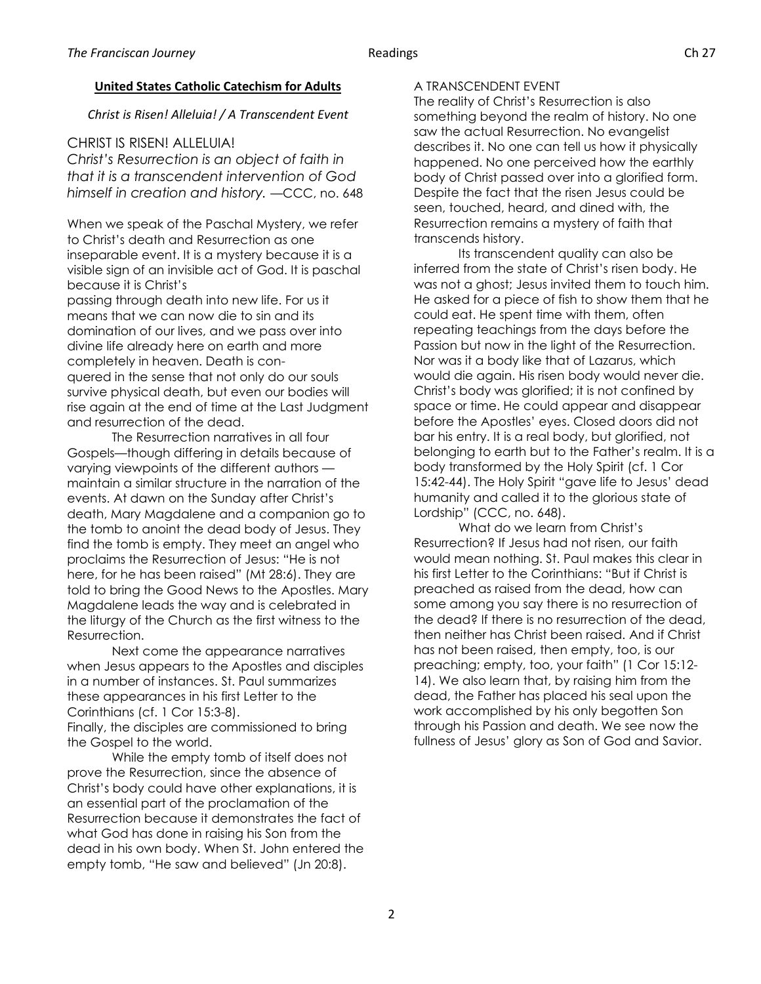### **United States Catholic Catechism for Adults**

### *Christ is Risen! Alleluia! / A Transcendent Event*

### CHRIST IS RISEN! ALLELUIA!

*Christ's Resurrection is an object of faith in that it is a transcendent intervention of God himself in creation and history.* —CCC, no. 648

When we speak of the Paschal Mystery, we refer to Christ's death and Resurrection as one inseparable event. It is a mystery because it is a visible sign of an invisible act of God. It is paschal because it is Christ's

passing through death into new life. For us it means that we can now die to sin and its domination of our lives, and we pass over into divine life already here on earth and more completely in heaven. Death is conquered in the sense that not only do our souls survive physical death, but even our bodies will rise again at the end of time at the Last Judgment and resurrection of the dead.

The Resurrection narratives in all four Gospels—though differing in details because of varying viewpoints of the different authors maintain a similar structure in the narration of the events. At dawn on the Sunday after Christ's death, Mary Magdalene and a companion go to the tomb to anoint the dead body of Jesus. They find the tomb is empty. They meet an angel who proclaims the Resurrection of Jesus: "He is not here, for he has been raised" (Mt 28:6). They are told to bring the Good News to the Apostles. Mary Magdalene leads the way and is celebrated in the liturgy of the Church as the first witness to the Resurrection.

Next come the appearance narratives when Jesus appears to the Apostles and disciples in a number of instances. St. Paul summarizes these appearances in his first Letter to the Corinthians (cf. 1 Cor 15:3-8). Finally, the disciples are commissioned to bring the Gospel to the world.

While the empty tomb of itself does not prove the Resurrection, since the absence of Christ's body could have other explanations, it is an essential part of the proclamation of the Resurrection because it demonstrates the fact of what God has done in raising his Son from the dead in his own body. When St. John entered the empty tomb, "He saw and believed" (Jn 20:8).

### A TRANSCENDENT EVENT

The reality of Christ's Resurrection is also something beyond the realm of history. No one saw the actual Resurrection. No evangelist describes it. No one can tell us how it physically happened. No one perceived how the earthly body of Christ passed over into a glorified form. Despite the fact that the risen Jesus could be seen, touched, heard, and dined with, the Resurrection remains a mystery of faith that transcends history.

Its transcendent quality can also be inferred from the state of Christ's risen body. He was not a ghost; Jesus invited them to touch him. He asked for a piece of fish to show them that he could eat. He spent time with them, often repeating teachings from the days before the Passion but now in the light of the Resurrection. Nor was it a body like that of Lazarus, which would die again. His risen body would never die. Christ's body was glorified; it is not confined by space or time. He could appear and disappear before the Apostles' eyes. Closed doors did not bar his entry. It is a real body, but glorified, not belonging to earth but to the Father's realm. It is a body transformed by the Holy Spirit (cf. 1 Cor 15:42-44). The Holy Spirit "gave life to Jesus' dead humanity and called it to the glorious state of Lordship" (CCC, no. 648).

What do we learn from Christ's Resurrection? If Jesus had not risen, our faith would mean nothing. St. Paul makes this clear in his first Letter to the Corinthians: "But if Christ is preached as raised from the dead, how can some among you say there is no resurrection of the dead? If there is no resurrection of the dead, then neither has Christ been raised. And if Christ has not been raised, then empty, too, is our preaching; empty, too, your faith" (1 Cor 15:12- 14). We also learn that, by raising him from the dead, the Father has placed his seal upon the work accomplished by his only begotten Son through his Passion and death. We see now the fullness of Jesus' glory as Son of God and Savior.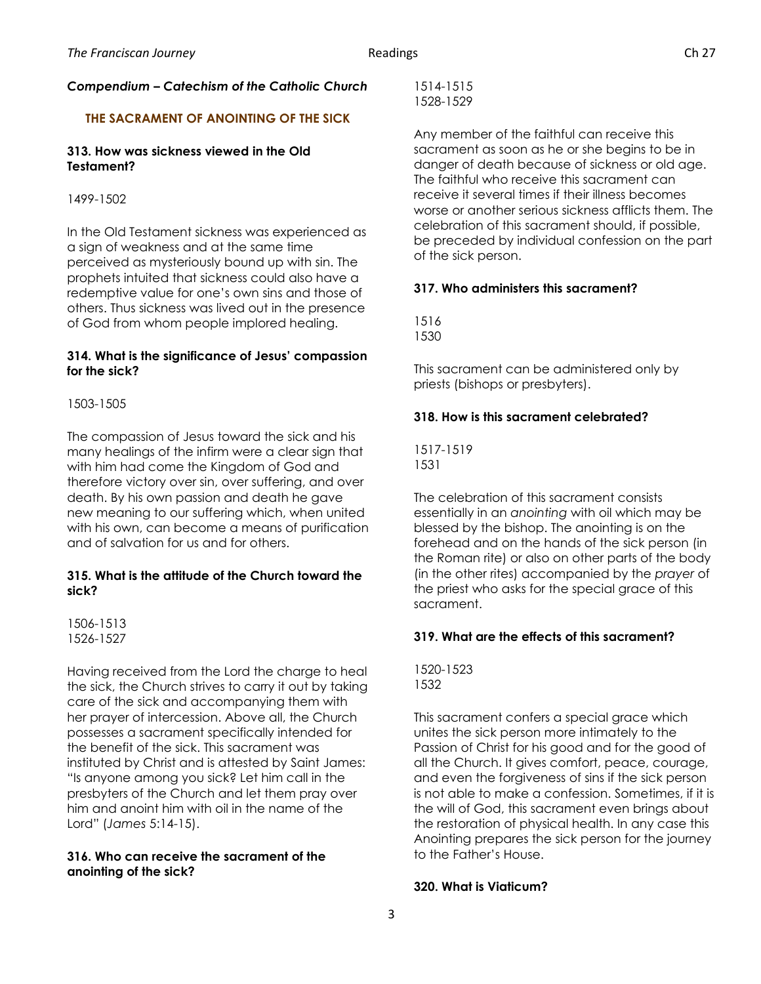### *Compendium – Catechism of the Catholic Church*

# **THE SACRAMENT OF ANOINTING OF THE SICK**

#### **313. How was sickness viewed in the Old Testament?**

1499-1502

In the Old Testament sickness was experienced as a sign of weakness and at the same time perceived as mysteriously bound up with sin. The prophets intuited that sickness could also have a redemptive value for one's own sins and those of others. Thus sickness was lived out in the presence of God from whom people implored healing.

### **314. What is the significance of Jesus' compassion for the sick?**

1503-1505

The compassion of Jesus toward the sick and his many healings of the infirm were a clear sign that with him had come the Kingdom of God and therefore victory over sin, over suffering, and over death. By his own passion and death he gave new meaning to our suffering which, when united with his own, can become a means of purification and of salvation for us and for others.

### **315. What is the attitude of the Church toward the sick?**

1506-1513 1526-1527

Having received from the Lord the charge to heal the sick, the Church strives to carry it out by taking care of the sick and accompanying them with her prayer of intercession. Above all, the Church possesses a sacrament specifically intended for the benefit of the sick. This sacrament was instituted by Christ and is attested by Saint James: "Is anyone among you sick? Let him call in the presbyters of the Church and let them pray over him and anoint him with oil in the name of the Lord" (*James* 5:14-15).

### **316. Who can receive the sacrament of the anointing of the sick?**

1514-1515 1528-1529

Any member of the faithful can receive this sacrament as soon as he or she begins to be in danger of death because of sickness or old age. The faithful who receive this sacrament can receive it several times if their illness becomes worse or another serious sickness afflicts them. The celebration of this sacrament should, if possible, be preceded by individual confession on the part of the sick person.

## **317. Who administers this sacrament?**

1516 1530

This sacrament can be administered only by priests (bishops or presbyters).

## **318. How is this sacrament celebrated?**

1517-1519 1531

The celebration of this sacrament consists essentially in an *anointing* with oil which may be blessed by the bishop. The anointing is on the forehead and on the hands of the sick person (in the Roman rite) or also on other parts of the body (in the other rites) accompanied by the *prayer* of the priest who asks for the special grace of this sacrament.

### **319. What are the effects of this sacrament?**

1520-1523 1532

This sacrament confers a special grace which unites the sick person more intimately to the Passion of Christ for his good and for the good of all the Church. It gives comfort, peace, courage, and even the forgiveness of sins if the sick person is not able to make a confession. Sometimes, if it is the will of God, this sacrament even brings about the restoration of physical health. In any case this Anointing prepares the sick person for the journey to the Father's House.

### **320. What is Viaticum?**